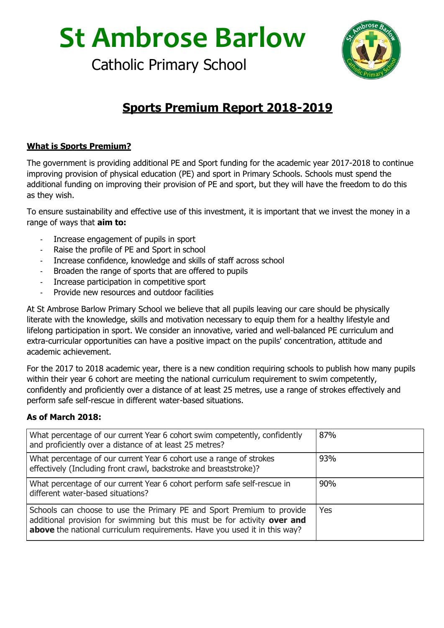**St Ambrose Barlow**

Catholic Primary School



## **Sports Premium Report 2018-2019**

## **What is Sports Premium?**

The government is providing additional PE and Sport funding for the academic year 2017-2018 to continue improving provision of physical education (PE) and sport in Primary Schools. Schools must spend the additional funding on improving their provision of PE and sport, but they will have the freedom to do this as they wish.

To ensure sustainability and effective use of this investment, it is important that we invest the money in a range of ways that **aim to:**

- Increase engagement of pupils in sport
- Raise the profile of PE and Sport in school
- Increase confidence, knowledge and skills of staff across school
- Broaden the range of sports that are offered to pupils
- Increase participation in competitive sport
- Provide new resources and outdoor facilities

At St Ambrose Barlow Primary School we believe that all pupils leaving our care should be physically literate with the knowledge, skills and motivation necessary to equip them for a healthy lifestyle and lifelong participation in sport. We consider an innovative, varied and well-balanced PE curriculum and extra-curricular opportunities can have a positive impact on the pupils' concentration, attitude and academic achievement.

For the 2017 to 2018 academic year, there is a new condition requiring schools to publish how many pupils within their year 6 cohort are meeting the national curriculum requirement to swim competently, confidently and proficiently over a distance of at least 25 metres, use a range of strokes effectively and perform safe self-rescue in different water-based situations.

## **As of March 2018:**

| What percentage of our current Year 6 cohort swim competently, confidently<br>and proficiently over a distance of at least 25 metres?                                                                                          | 87% |
|--------------------------------------------------------------------------------------------------------------------------------------------------------------------------------------------------------------------------------|-----|
| What percentage of our current Year 6 cohort use a range of strokes<br>effectively (Including front crawl, backstroke and breaststroke)?                                                                                       | 93% |
| What percentage of our current Year 6 cohort perform safe self-rescue in<br>different water-based situations?                                                                                                                  | 90% |
| Schools can choose to use the Primary PE and Sport Premium to provide<br>additional provision for swimming but this must be for activity over and<br>above the national curriculum requirements. Have you used it in this way? | Yes |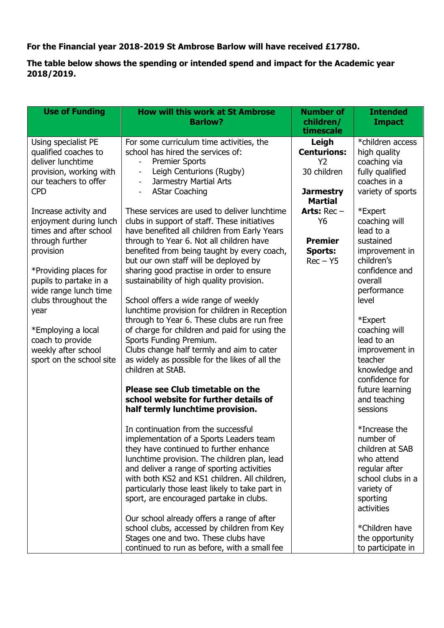**For the Financial year 2018-2019 St Ambrose Barlow will have received £17780.**

**The table below shows the spending or intended spend and impact for the Academic year 2018/2019.**

| <b>Use of Funding</b>    | <b>How will this work at St Ambrose</b>                                               | <b>Number of</b>   | <b>Intended</b>      |
|--------------------------|---------------------------------------------------------------------------------------|--------------------|----------------------|
|                          | <b>Barlow?</b>                                                                        | children/          | <b>Impact</b>        |
|                          |                                                                                       | timescale          |                      |
| Using specialist PE      | For some curriculum time activities, the                                              | Leigh              | *children access     |
| qualified coaches to     | school has hired the services of:                                                     | <b>Centurions:</b> | high quality         |
| deliver lunchtime        | <b>Premier Sports</b>                                                                 | Y <sub>2</sub>     | coaching via         |
| provision, working with  | Leigh Centurions (Rugby)<br>$\overline{\phantom{a}}$                                  | 30 children        | fully qualified      |
| our teachers to offer    | Jarmestry Martial Arts                                                                |                    | coaches in a         |
| <b>CPD</b>               | <b>AStar Coaching</b><br>$\blacksquare$                                               | <b>Jarmestry</b>   | variety of sports    |
|                          |                                                                                       | <b>Martial</b>     |                      |
| Increase activity and    | These services are used to deliver lunchtime                                          | Arts: $Rec -$      | *Expert              |
| enjoyment during lunch   | clubs in support of staff. These initiatives                                          | Y6                 | coaching will        |
| times and after school   | have benefited all children from Early Years                                          |                    | lead to a            |
| through further          | through to Year 6. Not all children have                                              | <b>Premier</b>     | sustained            |
| provision                | benefited from being taught by every coach,                                           | <b>Sports:</b>     | improvement in       |
|                          | but our own staff will be deployed by                                                 | $Rec - Y5$         | children's           |
| *Providing places for    | sharing good practise in order to ensure                                              |                    | confidence and       |
| pupils to partake in a   | sustainability of high quality provision.                                             |                    | overall              |
| wide range lunch time    |                                                                                       |                    | performance<br>level |
| clubs throughout the     | School offers a wide range of weekly<br>lunchtime provision for children in Reception |                    |                      |
| year                     | through to Year 6. These clubs are run free                                           |                    | *Expert              |
| *Employing a local       | of charge for children and paid for using the                                         |                    | coaching will        |
| coach to provide         | Sports Funding Premium.                                                               |                    | lead to an           |
| weekly after school      | Clubs change half termly and aim to cater                                             |                    | improvement in       |
| sport on the school site | as widely as possible for the likes of all the                                        |                    | teacher              |
|                          | children at StAB.                                                                     |                    | knowledge and        |
|                          |                                                                                       |                    | confidence for       |
|                          | Please see Club timetable on the                                                      |                    | future learning      |
|                          | school website for further details of                                                 |                    | and teaching         |
|                          | half termly lunchtime provision.                                                      |                    | sessions             |
|                          |                                                                                       |                    |                      |
|                          | In continuation from the successful                                                   |                    | *Increase the        |
|                          | implementation of a Sports Leaders team                                               |                    | number of            |
|                          | they have continued to further enhance                                                |                    | children at SAB      |
|                          | lunchtime provision. The children plan, lead                                          |                    | who attend           |
|                          | and deliver a range of sporting activities                                            |                    | regular after        |
|                          | with both KS2 and KS1 children. All children,                                         |                    | school clubs in a    |
|                          | particularly those least likely to take part in                                       |                    | variety of           |
|                          | sport, are encouraged partake in clubs.                                               |                    | sporting             |
|                          |                                                                                       |                    | activities           |
|                          | Our school already offers a range of after                                            |                    |                      |
|                          | school clubs, accessed by children from Key                                           |                    | *Children have       |
|                          | Stages one and two. These clubs have                                                  |                    | the opportunity      |
|                          | continued to run as before, with a small fee                                          |                    | to participate in    |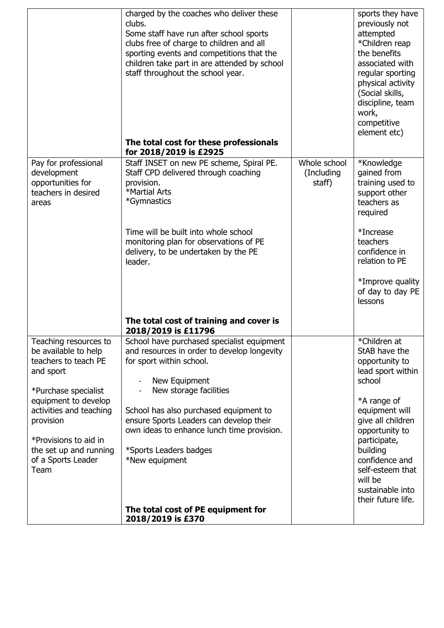|                                                                                                            | charged by the coaches who deliver these<br>clubs.<br>Some staff have run after school sports<br>clubs free of charge to children and all<br>sporting events and competitions that the<br>children take part in are attended by school<br>staff throughout the school year.<br>The total cost for these professionals<br>for 2018/2019 is £2925 |                                       | sports they have<br>previously not<br>attempted<br>*Children reap<br>the benefits<br>associated with<br>regular sporting<br>physical activity<br>(Social skills,<br>discipline, team<br>work,<br>competitive<br>element etc) |
|------------------------------------------------------------------------------------------------------------|-------------------------------------------------------------------------------------------------------------------------------------------------------------------------------------------------------------------------------------------------------------------------------------------------------------------------------------------------|---------------------------------------|------------------------------------------------------------------------------------------------------------------------------------------------------------------------------------------------------------------------------|
| Pay for professional<br>development<br>opportunities for<br>teachers in desired<br>areas                   | Staff INSET on new PE scheme, Spiral PE.<br>Staff CPD delivered through coaching<br>provision.<br>*Martial Arts<br>*Gymnastics                                                                                                                                                                                                                  | Whole school<br>(Including)<br>staff) | *Knowledge<br>gained from<br>training used to<br>support other<br>teachers as<br>required                                                                                                                                    |
|                                                                                                            | Time will be built into whole school<br>monitoring plan for observations of PE<br>delivery, to be undertaken by the PE<br>leader.                                                                                                                                                                                                               |                                       | *Increase<br>teachers<br>confidence in<br>relation to PE                                                                                                                                                                     |
|                                                                                                            |                                                                                                                                                                                                                                                                                                                                                 |                                       | *Improve quality<br>of day to day PE<br>lessons                                                                                                                                                                              |
|                                                                                                            | The total cost of training and cover is<br>2018/2019 is £11796                                                                                                                                                                                                                                                                                  |                                       |                                                                                                                                                                                                                              |
| Teaching resources to<br>be available to help<br>teachers to teach PE<br>and sport<br>*Purchase specialist | School have purchased specialist equipment<br>and resources in order to develop longevity<br>for sport within school.<br>New Equipment<br>New storage facilities                                                                                                                                                                                |                                       | *Children at<br>StAB have the<br>opportunity to<br>lead sport within<br>school                                                                                                                                               |
| equipment to develop<br>activities and teaching<br>provision<br>*Provisions to aid in                      | School has also purchased equipment to<br>ensure Sports Leaders can develop their<br>own ideas to enhance lunch time provision.                                                                                                                                                                                                                 |                                       | *A range of<br>equipment will<br>give all children<br>opportunity to<br>participate,                                                                                                                                         |
| the set up and running<br>of a Sports Leader<br>Team                                                       | *Sports Leaders badges<br>*New equipment                                                                                                                                                                                                                                                                                                        |                                       | building<br>confidence and<br>self-esteem that<br>will be<br>sustainable into<br>their future life.                                                                                                                          |
|                                                                                                            | The total cost of PE equipment for<br>2018/2019 is £370                                                                                                                                                                                                                                                                                         |                                       |                                                                                                                                                                                                                              |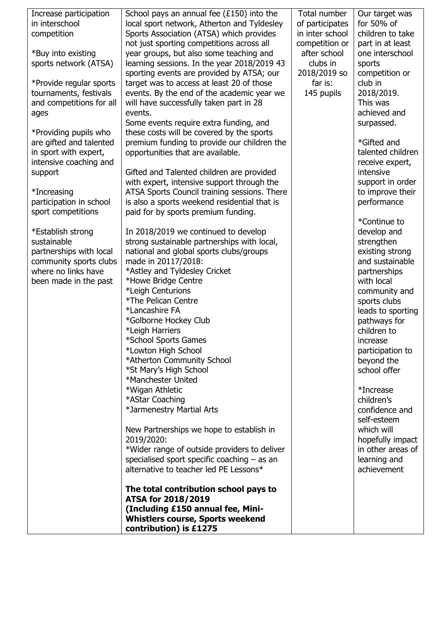| Increase participation<br>in interschool<br>competition<br>*Buy into existing<br>sports network (ATSA)<br>*Provide regular sports<br>tournaments, festivals<br>and competitions for all<br>ages<br>*Providing pupils who<br>are gifted and talented<br>in sport with expert,<br>intensive coaching and<br>support<br>*Increasing<br>participation in school<br>sport competitions<br>*Establish strong<br>sustainable<br>partnerships with local<br>community sports clubs<br>where no links have<br>been made in the past | School pays an annual fee $(£150)$ into the<br>local sport network, Atherton and Tyldesley<br>Sports Association (ATSA) which provides<br>not just sporting competitions across all<br>year groups, but also some teaching and<br>learning sessions. In the year 2018/2019 43<br>sporting events are provided by ATSA; our<br>target was to access at least 20 of those<br>events. By the end of the academic year we<br>will have successfully taken part in 28<br>events.<br>Some events require extra funding, and<br>these costs will be covered by the sports<br>premium funding to provide our children the<br>opportunities that are available.<br>Gifted and Talented children are provided<br>with expert, intensive support through the<br>ATSA Sports Council training sessions. There<br>is also a sports weekend residential that is<br>paid for by sports premium funding.<br>In 2018/2019 we continued to develop<br>strong sustainable partnerships with local,<br>national and global sports clubs/groups<br>made in 20117/2018:<br>*Astley and Tyldesley Cricket<br>*Howe Bridge Centre<br>*Leigh Centurions<br>*The Pelican Centre<br>*Lancashire FA<br>*Golborne Hockey Club<br>*Leigh Harriers<br>*School Sports Games<br>*Lowton High School<br>*Atherton Community School<br>*St Mary's High School<br>*Manchester United<br>*Wigan Athletic<br>*AStar Coaching<br>*Jarmenestry Martial Arts<br>New Partnerships we hope to establish in<br>2019/2020:<br>*Wider range of outside providers to deliver<br>specialised sport specific coaching $-$ as an<br>alternative to teacher led PE Lessons* | Total number<br>of participates<br>in inter school<br>competition or<br>after school<br>clubs in<br>2018/2019 so<br>far is:<br>145 pupils | Our target was<br>for 50% of<br>children to take<br>part in at least<br>one interschool<br>sports<br>competition or<br>club in<br>2018/2019.<br>This was<br>achieved and<br>surpassed.<br>*Gifted and<br>talented children<br>receive expert,<br>intensive<br>support in order<br>to improve their<br>performance<br>*Continue to<br>develop and<br>strengthen<br>existing strong<br>and sustainable<br>partnerships<br>with local<br>community and<br>sports clubs<br>leads to sporting<br>pathways for<br>children to<br>increase<br>participation to<br>beyond the<br>school offer<br>*Increase<br>children's<br>confidence and<br>self-esteem<br>which will<br>hopefully impact<br>in other areas of<br>learning and<br>achievement |
|----------------------------------------------------------------------------------------------------------------------------------------------------------------------------------------------------------------------------------------------------------------------------------------------------------------------------------------------------------------------------------------------------------------------------------------------------------------------------------------------------------------------------|--------------------------------------------------------------------------------------------------------------------------------------------------------------------------------------------------------------------------------------------------------------------------------------------------------------------------------------------------------------------------------------------------------------------------------------------------------------------------------------------------------------------------------------------------------------------------------------------------------------------------------------------------------------------------------------------------------------------------------------------------------------------------------------------------------------------------------------------------------------------------------------------------------------------------------------------------------------------------------------------------------------------------------------------------------------------------------------------------------------------------------------------------------------------------------------------------------------------------------------------------------------------------------------------------------------------------------------------------------------------------------------------------------------------------------------------------------------------------------------------------------------------------------------------------------------------------------------------------------------------------|-------------------------------------------------------------------------------------------------------------------------------------------|-----------------------------------------------------------------------------------------------------------------------------------------------------------------------------------------------------------------------------------------------------------------------------------------------------------------------------------------------------------------------------------------------------------------------------------------------------------------------------------------------------------------------------------------------------------------------------------------------------------------------------------------------------------------------------------------------------------------------------------------|
|                                                                                                                                                                                                                                                                                                                                                                                                                                                                                                                            | The total contribution school pays to<br>ATSA for 2018/2019<br>(Including £150 annual fee, Mini-                                                                                                                                                                                                                                                                                                                                                                                                                                                                                                                                                                                                                                                                                                                                                                                                                                                                                                                                                                                                                                                                                                                                                                                                                                                                                                                                                                                                                                                                                                                         |                                                                                                                                           |                                                                                                                                                                                                                                                                                                                                                                                                                                                                                                                                                                                                                                                                                                                                         |
|                                                                                                                                                                                                                                                                                                                                                                                                                                                                                                                            | <b>Whistlers course, Sports weekend</b><br>contribution) is £1275                                                                                                                                                                                                                                                                                                                                                                                                                                                                                                                                                                                                                                                                                                                                                                                                                                                                                                                                                                                                                                                                                                                                                                                                                                                                                                                                                                                                                                                                                                                                                        |                                                                                                                                           |                                                                                                                                                                                                                                                                                                                                                                                                                                                                                                                                                                                                                                                                                                                                         |